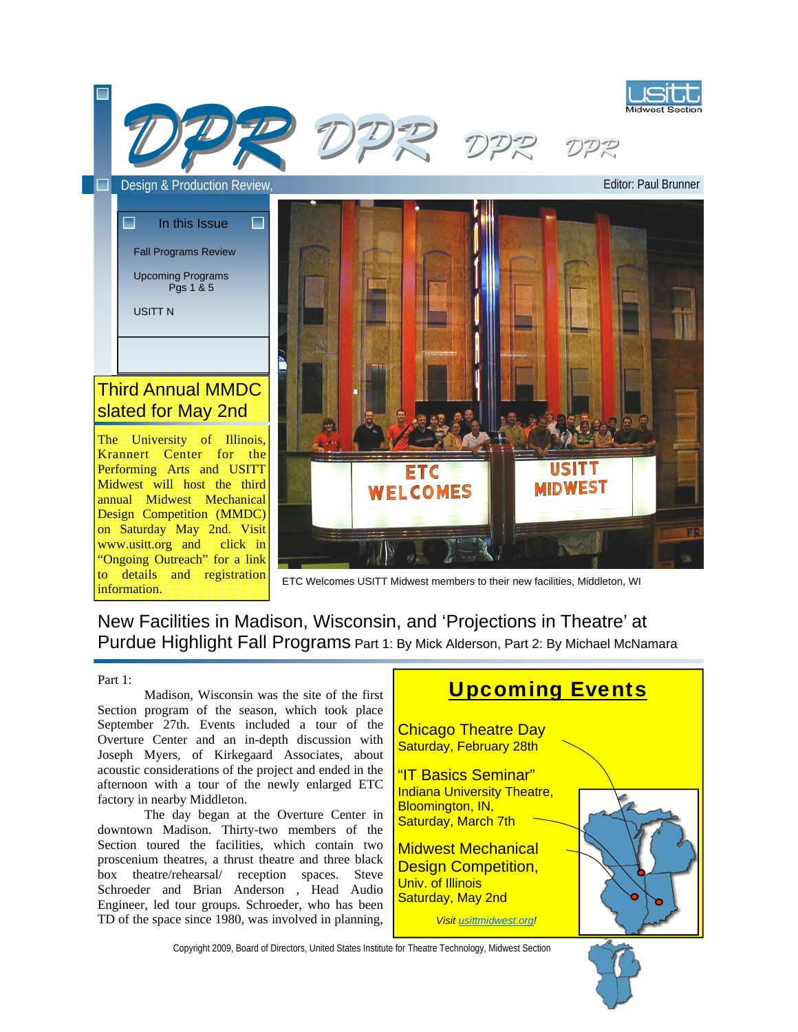

ETC Welcomes USITT Midwest members to their new facilities, Middleton, WI

### New Facilities in Madison, Wisconsin, and 'Projections in Theatre' at Purdue Highlight Fall Programs Part 1: By Mick Alderson, Part 2: By Michael McNamara

#### Part 1:

information.

 Madison, Wisconsin was the site of the first Section program of the season, which took place September 27th. Events included a tour of the Overture Center and an in-depth discussion with Joseph Myers, of Kirkegaard Associates, about acoustic considerations of the project and ended in the afternoon with a tour of the newly enlarged ETC factory in nearby Middleton.

 The day began at the Overture Center in downtown Madison. Thirty-two members of the Section toured the facilities, which contain two proscenium theatres, a thrust theatre and three black box theatre/rehearsal/ reception spaces. Steve Schroeder and Brian Anderson , Head Audio Engineer, led tour groups. Schroeder, who has been TD of the space since 1980, was involved in planning,

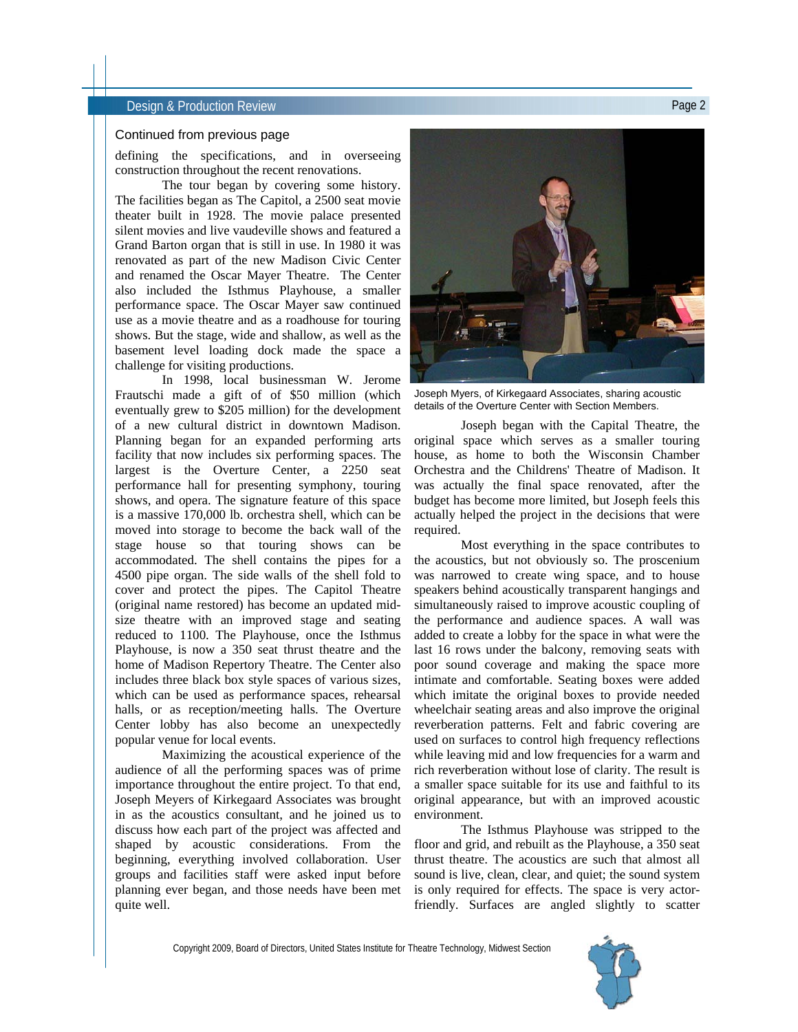#### **Design & Production Review Page 2** and the production Review Page 2

#### Continued from previous page

defining the specifications, and in overseeing construction throughout the recent renovations.

 The tour began by covering some history. The facilities began as The Capitol, a 2500 seat movie theater built in 1928. The movie palace presented silent movies and live vaudeville shows and featured a Grand Barton organ that is still in use. In 1980 it was renovated as part of the new Madison Civic Center and renamed the Oscar Mayer Theatre. The Center also included the Isthmus Playhouse, a smaller performance space. The Oscar Mayer saw continued use as a movie theatre and as a roadhouse for touring shows. But the stage, wide and shallow, as well as the basement level loading dock made the space a challenge for visiting productions.

 In 1998, local businessman W. Jerome Frautschi made a gift of of \$50 million (which eventually grew to \$205 million) for the development of a new cultural district in downtown Madison. Planning began for an expanded performing arts facility that now includes six performing spaces. The largest is the Overture Center, a 2250 seat performance hall for presenting symphony, touring shows, and opera. The signature feature of this space is a massive 170,000 lb. orchestra shell, which can be moved into storage to become the back wall of the stage house so that touring shows can be accommodated. The shell contains the pipes for a 4500 pipe organ. The side walls of the shell fold to cover and protect the pipes. The Capitol Theatre (original name restored) has become an updated midsize theatre with an improved stage and seating reduced to 1100. The Playhouse, once the Isthmus Playhouse, is now a 350 seat thrust theatre and the home of Madison Repertory Theatre. The Center also includes three black box style spaces of various sizes, which can be used as performance spaces, rehearsal halls, or as reception/meeting halls. The Overture Center lobby has also become an unexpectedly popular venue for local events.

 Maximizing the acoustical experience of the audience of all the performing spaces was of prime importance throughout the entire project. To that end, Joseph Meyers of Kirkegaard Associates was brought in as the acoustics consultant, and he joined us to discuss how each part of the project was affected and shaped by acoustic considerations. From the beginning, everything involved collaboration. User groups and facilities staff were asked input before planning ever began, and those needs have been met quite well.



Joseph Myers, of Kirkegaard Associates, sharing acoustic details of the Overture Center with Section Members.

 Joseph began with the Capital Theatre, the original space which serves as a smaller touring house, as home to both the Wisconsin Chamber Orchestra and the Childrens' Theatre of Madison. It was actually the final space renovated, after the budget has become more limited, but Joseph feels this actually helped the project in the decisions that were required.

 Most everything in the space contributes to the acoustics, but not obviously so. The proscenium was narrowed to create wing space, and to house speakers behind acoustically transparent hangings and simultaneously raised to improve acoustic coupling of the performance and audience spaces. A wall was added to create a lobby for the space in what were the last 16 rows under the balcony, removing seats with poor sound coverage and making the space more intimate and comfortable. Seating boxes were added which imitate the original boxes to provide needed wheelchair seating areas and also improve the original reverberation patterns. Felt and fabric covering are used on surfaces to control high frequency reflections while leaving mid and low frequencies for a warm and rich reverberation without lose of clarity. The result is a smaller space suitable for its use and faithful to its original appearance, but with an improved acoustic environment.

 The Isthmus Playhouse was stripped to the floor and grid, and rebuilt as the Playhouse, a 350 seat thrust theatre. The acoustics are such that almost all sound is live, clean, clear, and quiet; the sound system is only required for effects. The space is very actorfriendly. Surfaces are angled slightly to scatter

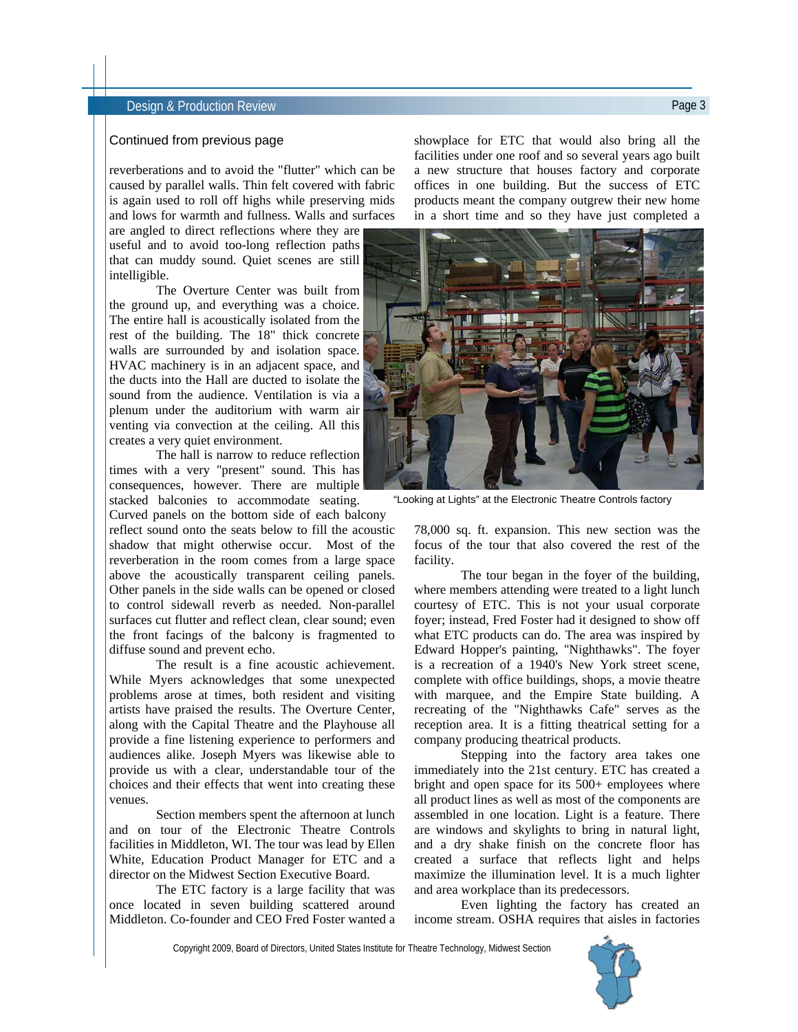#### **Design & Production Review Page 3 Design & Production Review**

#### Continued from previous page

reverberations and to avoid the "flutter" which can be caused by parallel walls. Thin felt covered with fabric is again used to roll off highs while preserving mids and lows for warmth and fullness. Walls and surfaces

are angled to direct reflections where they are useful and to avoid too-long reflection paths that can muddy sound. Quiet scenes are still intelligible.

 The Overture Center was built from the ground up, and everything was a choice. The entire hall is acoustically isolated from the rest of the building. The 18" thick concrete walls are surrounded by and isolation space. HVAC machinery is in an adjacent space, and the ducts into the Hall are ducted to isolate the sound from the audience. Ventilation is via a plenum under the auditorium with warm air venting via convection at the ceiling. All this creates a very quiet environment.

 The hall is narrow to reduce reflection times with a very "present" sound. This has consequences, however. There are multiple stacked balconies to accommodate seating.

Curved panels on the bottom side of each balcony reflect sound onto the seats below to fill the acoustic shadow that might otherwise occur. Most of the reverberation in the room comes from a large space above the acoustically transparent ceiling panels. Other panels in the side walls can be opened or closed to control sidewall reverb as needed. Non-parallel surfaces cut flutter and reflect clean, clear sound; even the front facings of the balcony is fragmented to diffuse sound and prevent echo.

 The result is a fine acoustic achievement. While Myers acknowledges that some unexpected problems arose at times, both resident and visiting artists have praised the results. The Overture Center, along with the Capital Theatre and the Playhouse all provide a fine listening experience to performers and audiences alike. Joseph Myers was likewise able to provide us with a clear, understandable tour of the choices and their effects that went into creating these venues.

 Section members spent the afternoon at lunch and on tour of the Electronic Theatre Controls facilities in Middleton, WI. The tour was lead by Ellen White, Education Product Manager for ETC and a director on the Midwest Section Executive Board.

 The ETC factory is a large facility that was once located in seven building scattered around Middleton. Co-founder and CEO Fred Foster wanted a

showplace for ETC that would also bring all the facilities under one roof and so several years ago built a new structure that houses factory and corporate offices in one building. But the success of ETC products meant the company outgrew their new home in a short time and so they have just completed a



"Looking at Lights" at the Electronic Theatre Controls factory

78,000 sq. ft. expansion. This new section was the focus of the tour that also covered the rest of the facility.

 The tour began in the foyer of the building, where members attending were treated to a light lunch courtesy of ETC. This is not your usual corporate foyer; instead, Fred Foster had it designed to show off what ETC products can do. The area was inspired by Edward Hopper's painting, "Nighthawks". The foyer is a recreation of a 1940's New York street scene, complete with office buildings, shops, a movie theatre with marquee, and the Empire State building. A recreating of the "Nighthawks Cafe" serves as the reception area. It is a fitting theatrical setting for a company producing theatrical products.

 Stepping into the factory area takes one immediately into the 21st century. ETC has created a bright and open space for its 500+ employees where all product lines as well as most of the components are assembled in one location. Light is a feature. There are windows and skylights to bring in natural light, and a dry shake finish on the concrete floor has created a surface that reflects light and helps maximize the illumination level. It is a much lighter and area workplace than its predecessors.

 Even lighting the factory has created an income stream. OSHA requires that aisles in factories

Copyright 2009, Board of Directors, United States Institute for Theatre Technology, Midwest Section

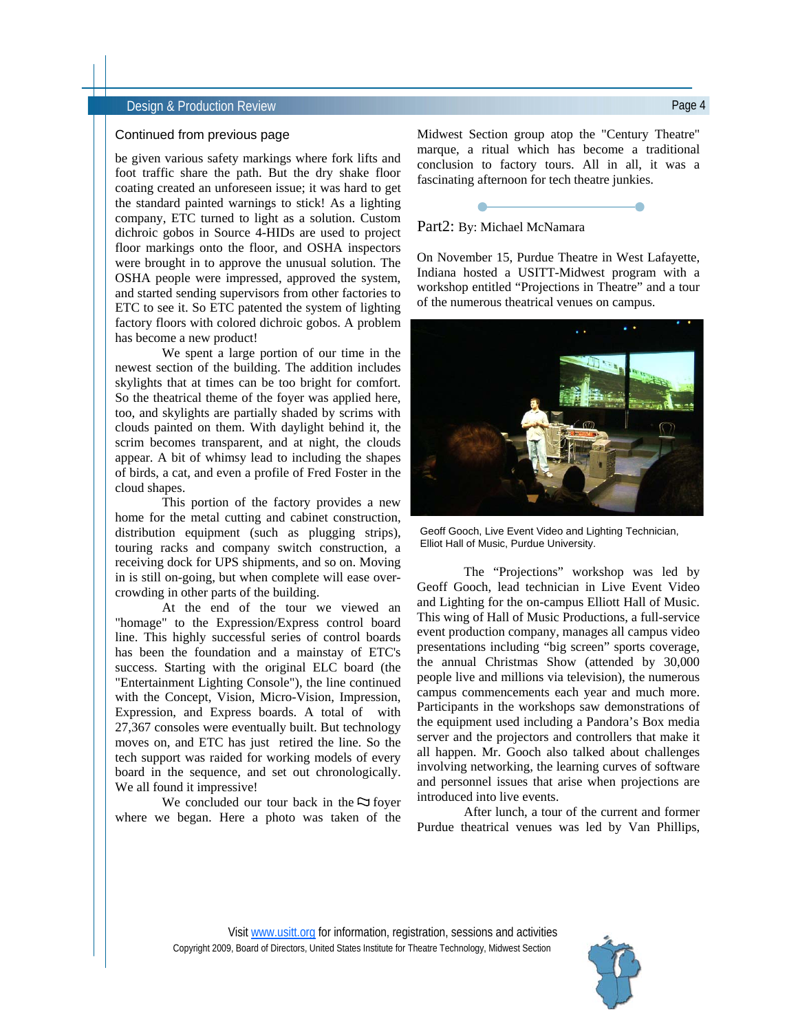#### Design & Production Review Page 4

#### Continued from previous page

be given various safety markings where fork lifts and foot traffic share the path. But the dry shake floor coating created an unforeseen issue; it was hard to get the standard painted warnings to stick! As a lighting company, ETC turned to light as a solution. Custom dichroic gobos in Source 4-HIDs are used to project floor markings onto the floor, and OSHA inspectors were brought in to approve the unusual solution. The OSHA people were impressed, approved the system, and started sending supervisors from other factories to ETC to see it. So ETC patented the system of lighting factory floors with colored dichroic gobos. A problem has become a new product!

 We spent a large portion of our time in the newest section of the building. The addition includes skylights that at times can be too bright for comfort. So the theatrical theme of the foyer was applied here, too, and skylights are partially shaded by scrims with clouds painted on them. With daylight behind it, the scrim becomes transparent, and at night, the clouds appear. A bit of whimsy lead to including the shapes of birds, a cat, and even a profile of Fred Foster in the cloud shapes.

 This portion of the factory provides a new home for the metal cutting and cabinet construction, distribution equipment (such as plugging strips), touring racks and company switch construction, a receiving dock for UPS shipments, and so on. Moving in is still on-going, but when complete will ease overcrowding in other parts of the building.

 At the end of the tour we viewed an "homage" to the Expression/Express control board line. This highly successful series of control boards has been the foundation and a mainstay of ETC's success. Starting with the original ELC board (the "Entertainment Lighting Console"), the line continued with the Concept, Vision, Micro-Vision, Impression, Expression, and Express boards. A total of with 27,367 consoles were eventually built. But technology moves on, and ETC has just retired the line. So the tech support was raided for working models of every board in the sequence, and set out chronologically. We all found it impressive!

We concluded our tour back in the  $\Im$  foyer where we began. Here a photo was taken of the Midwest Section group atop the "Century Theatre" marque, a ritual which has become a traditional conclusion to factory tours. All in all, it was a fascinating afternoon for tech theatre junkies.

#### Part2: By: Michael McNamara

On November 15, Purdue Theatre in West Lafayette, Indiana hosted a USITT-Midwest program with a workshop entitled "Projections in Theatre" and a tour of the numerous theatrical venues on campus.



Geoff Gooch, Live Event Video and Lighting Technician, Elliot Hall of Music, Purdue University.

 The "Projections" workshop was led by Geoff Gooch, lead technician in Live Event Video and Lighting for the on-campus Elliott Hall of Music. This wing of Hall of Music Productions, a full-service event production company, manages all campus video presentations including "big screen" sports coverage, the annual Christmas Show (attended by 30,000 people live and millions via television), the numerous campus commencements each year and much more. Participants in the workshops saw demonstrations of the equipment used including a Pandora's Box media server and the projectors and controllers that make it all happen. Mr. Gooch also talked about challenges involving networking, the learning curves of software and personnel issues that arise when projections are introduced into live events.

 After lunch, a tour of the current and former Purdue theatrical venues was led by Van Phillips,

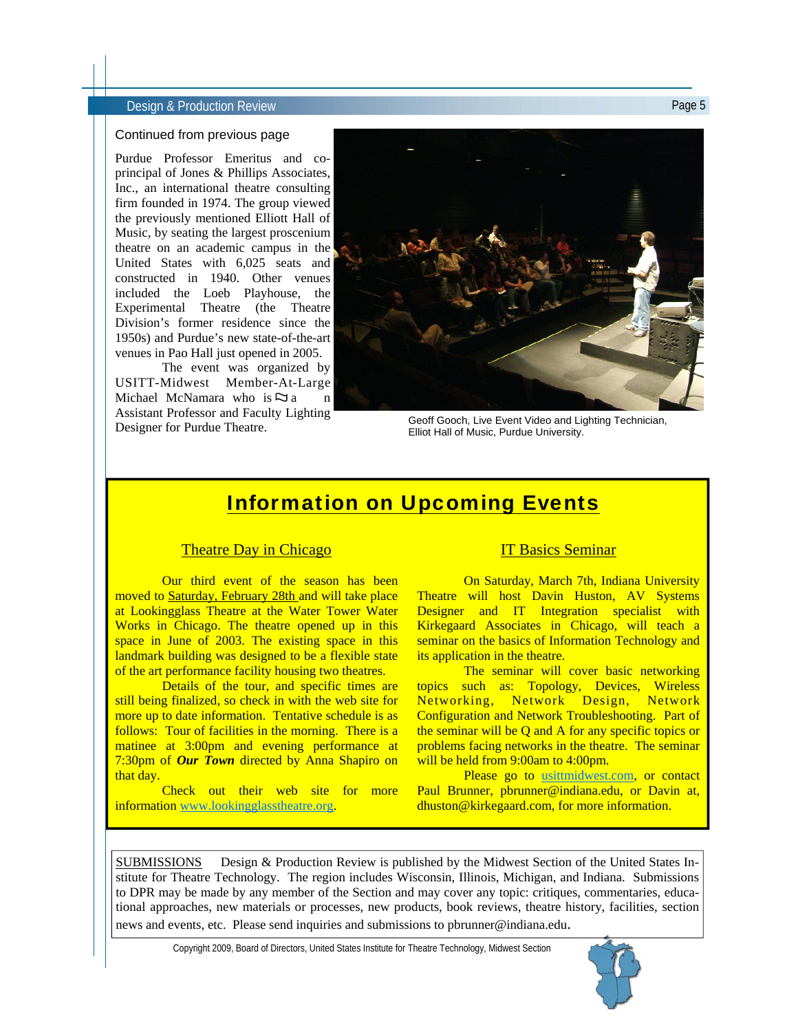#### Design & Production Review Page 5

#### Continued from previous page

Purdue Professor Emeritus and coprincipal of Jones & Phillips Associates, Inc., an international theatre consulting firm founded in 1974. The group viewed the previously mentioned Elliott Hall of Music, by seating the largest proscenium theatre on an academic campus in the United States with 6,025 seats and constructed in 1940. Other venues included the Loeb Playhouse, the Experimental Theatre (the Theatre Division's former residence since the 1950s) and Purdue's new state-of-the-art venues in Pao Hall just opened in 2005.

 The event was organized by USITT-Midwest Member-At-Large Michael McNamara who is  $\Im a$ Assistant Professor and Faculty Lighting Designer for Purdue Theatre.



Geoff Gooch, Live Event Video and Lighting Technician, Elliot Hall of Music, Purdue University.

## Information on Upcoming Events

### Theatre Day in Chicago

 Our third event of the season has been moved to Saturday, February 28th and will take place at Lookingglass Theatre at the Water Tower Water Works in Chicago. The theatre opened up in this space in June of 2003. The existing space in this landmark building was designed to be a flexible state of the art performance facility housing two theatres.

 Details of the tour, and specific times are still being finalized, so check in with the web site for more up to date information. Tentative schedule is as follows: Tour of facilities in the morning. There is a matinee at 3:00pm and evening performance at 7:30pm of *Our Town* directed by Anna Shapiro on that day.

 Check out their web site for more information www.lookingglasstheatre.org.

#### IT Basics Seminar

 On Saturday, March 7th, Indiana University Theatre will host Davin Huston, AV Systems Designer and IT Integration specialist with Kirkegaard Associates in Chicago, will teach a seminar on the basics of Information Technology and its application in the theatre.

The seminar will cover basic networking topics such as: Topology, Devices, Wireless Networking, Network Design, Network Configuration and Network Troubleshooting. Part of the seminar will be Q and A for any specific topics or problems facing networks in the theatre. The seminar will be held from 9:00am to 4:00pm.

Please go to usittmidwest.com, or contact Paul Brunner, pbrunner@indiana.edu, or Davin at, dhuston@kirkegaard.com, for more information.

SUBMISSIONS Design & Production Review is published by the Midwest Section of the United States Institute for Theatre Technology. The region includes Wisconsin, Illinois, Michigan, and Indiana. Submissions to DPR may be made by any member of the Section and may cover any topic: critiques, commentaries, educational approaches, new materials or processes, new products, book reviews, theatre history, facilities, section news and events, etc. Please send inquiries and submissions to pbrunner@indiana.edu.

Copyright 2009, Board of Directors, United States Institute for Theatre Technology, Midwest Section